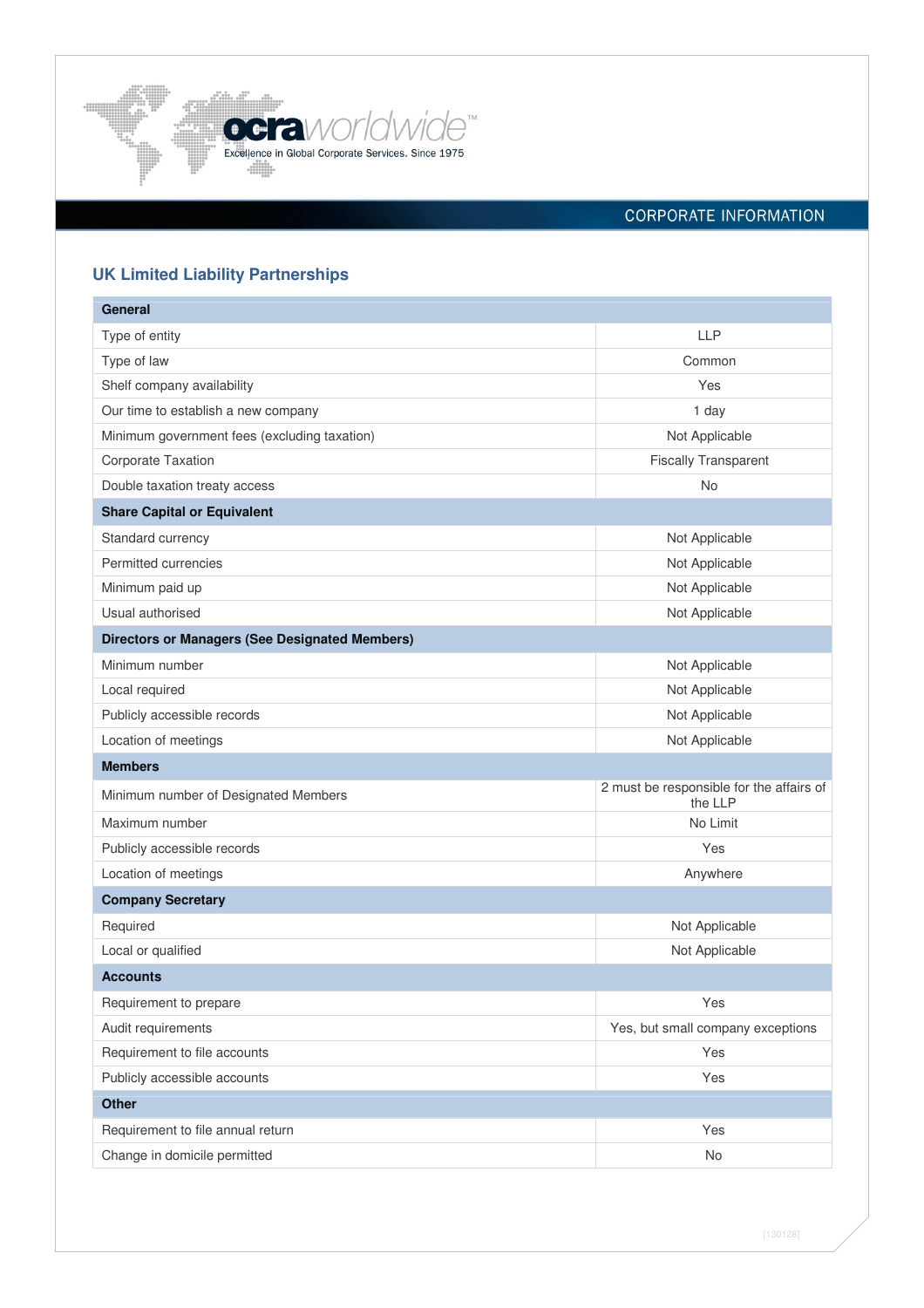

# CORPORATE INFORMATION

# **UK Limited Liability Partnerships**

| General                                               |                                                     |
|-------------------------------------------------------|-----------------------------------------------------|
| Type of entity                                        | <b>LLP</b>                                          |
| Type of law                                           | Common                                              |
| Shelf company availability                            | Yes                                                 |
| Our time to establish a new company                   | 1 day                                               |
| Minimum government fees (excluding taxation)          | Not Applicable                                      |
| Corporate Taxation                                    | <b>Fiscally Transparent</b>                         |
| Double taxation treaty access                         | No                                                  |
| <b>Share Capital or Equivalent</b>                    |                                                     |
| Standard currency                                     | Not Applicable                                      |
| Permitted currencies                                  | Not Applicable                                      |
| Minimum paid up                                       | Not Applicable                                      |
| Usual authorised                                      | Not Applicable                                      |
| <b>Directors or Managers (See Designated Members)</b> |                                                     |
| Minimum number                                        | Not Applicable                                      |
| Local required                                        | Not Applicable                                      |
| Publicly accessible records                           | Not Applicable                                      |
| Location of meetings                                  | Not Applicable                                      |
| <b>Members</b>                                        |                                                     |
| Minimum number of Designated Members                  | 2 must be responsible for the affairs of<br>the LLP |
| Maximum number                                        | No Limit                                            |
| Publicly accessible records                           | Yes                                                 |
| Location of meetings                                  | Anywhere                                            |
| <b>Company Secretary</b>                              |                                                     |
| Required                                              | Not Applicable                                      |
| Local or qualified                                    | Not Applicable                                      |
| <b>Accounts</b>                                       |                                                     |
| Requirement to prepare                                | Yes                                                 |
| Audit requirements                                    | Yes, but small company exceptions                   |
| Requirement to file accounts                          | Yes                                                 |
| Publicly accessible accounts                          | Yes                                                 |
| <b>Other</b>                                          |                                                     |
| Requirement to file annual return                     | Yes                                                 |
| Change in domicile permitted                          | No                                                  |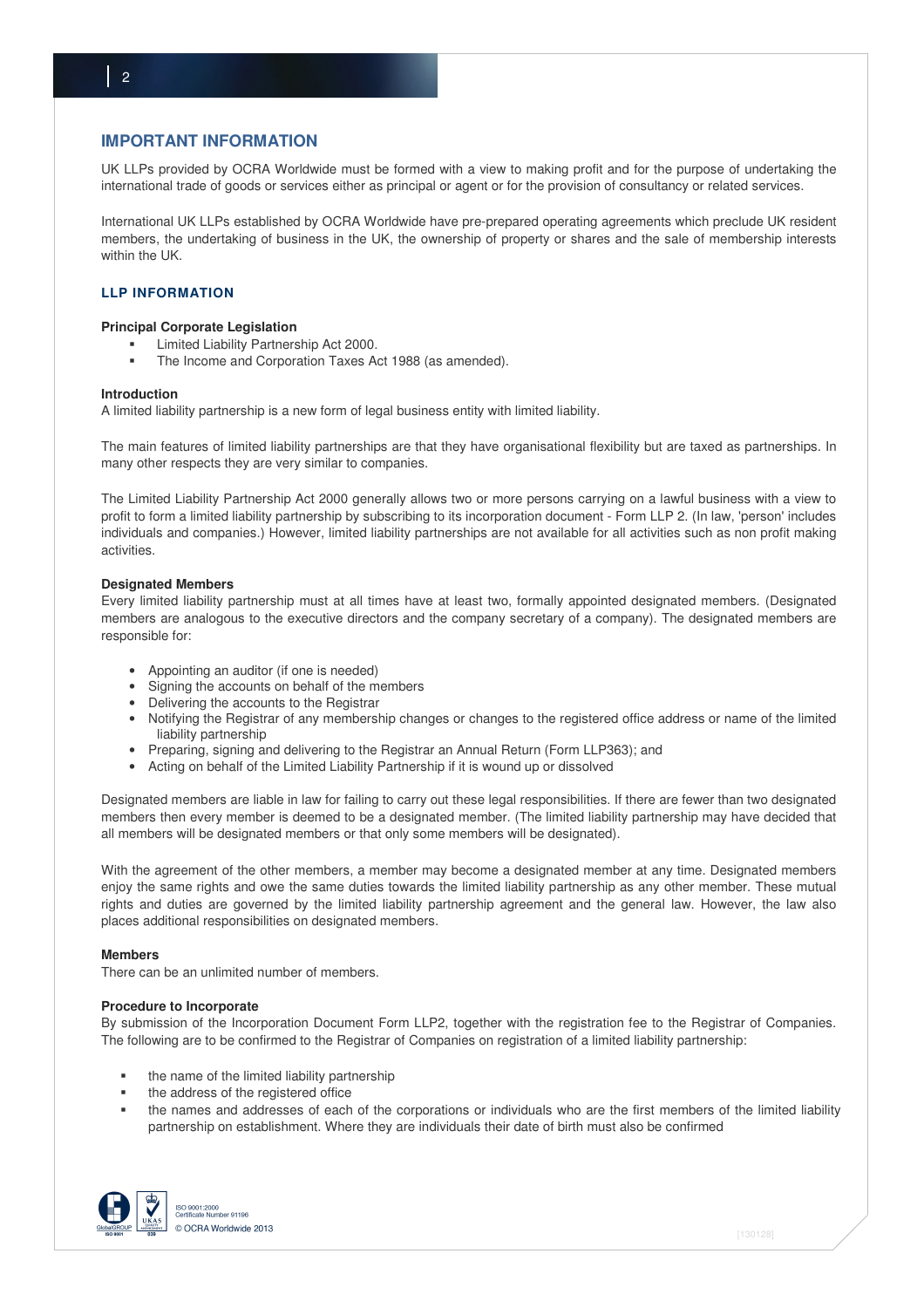# **IMPORTANT INFORMATION**

UK LLPs provided by OCRA Worldwide must be formed with a view to making profit and for the purpose of undertaking the international trade of goods or services either as principal or agent or for the provision of consultancy or related services.

International UK LLPs established by OCRA Worldwide have pre-prepared operating agreements which preclude UK resident members, the undertaking of business in the UK, the ownership of property or shares and the sale of membership interests within the UK.

# **LLP INFORMATION**

## **Principal Corporate Legislation**

- Limited Liability Partnership Act 2000.
- The Income and Corporation Taxes Act 1988 (as amended).

## **Introduction**

A limited liability partnership is a new form of legal business entity with limited liability.

The main features of limited liability partnerships are that they have organisational flexibility but are taxed as partnerships. In many other respects they are very similar to companies.

The Limited Liability Partnership Act 2000 generally allows two or more persons carrying on a lawful business with a view to profit to form a limited liability partnership by subscribing to its incorporation document - Form LLP 2. (In law, 'person' includes individuals and companies.) However, limited liability partnerships are not available for all activities such as non profit making activities.

## **Designated Members**

Every limited liability partnership must at all times have at least two, formally appointed designated members. (Designated members are analogous to the executive directors and the company secretary of a company). The designated members are responsible for:

- Appointing an auditor (if one is needed)
- Signing the accounts on behalf of the members
- Delivering the accounts to the Registrar
- Notifying the Registrar of any membership changes or changes to the registered office address or name of the limited liability partnership
- Preparing, signing and delivering to the Registrar an Annual Return (Form LLP363); and
- Acting on behalf of the Limited Liability Partnership if it is wound up or dissolved

Designated members are liable in law for failing to carry out these legal responsibilities. If there are fewer than two designated members then every member is deemed to be a designated member. (The limited liability partnership may have decided that all members will be designated members or that only some members will be designated).

With the agreement of the other members, a member may become a designated member at any time. Designated members enjoy the same rights and owe the same duties towards the limited liability partnership as any other member. These mutual rights and duties are governed by the limited liability partnership agreement and the general law. However, the law also places additional responsibilities on designated members.

# **Members**

There can be an unlimited number of members.

#### **Procedure to Incorporate**

By submission of the Incorporation Document Form LLP2, together with the registration fee to the Registrar of Companies. The following are to be confirmed to the Registrar of Companies on registration of a limited liability partnership:

- the name of the limited liability partnership
- the address of the registered office
- the names and addresses of each of the corporations or individuals who are the first members of the limited liability partnership on establishment. Where they are individuals their date of birth must also be confirmed

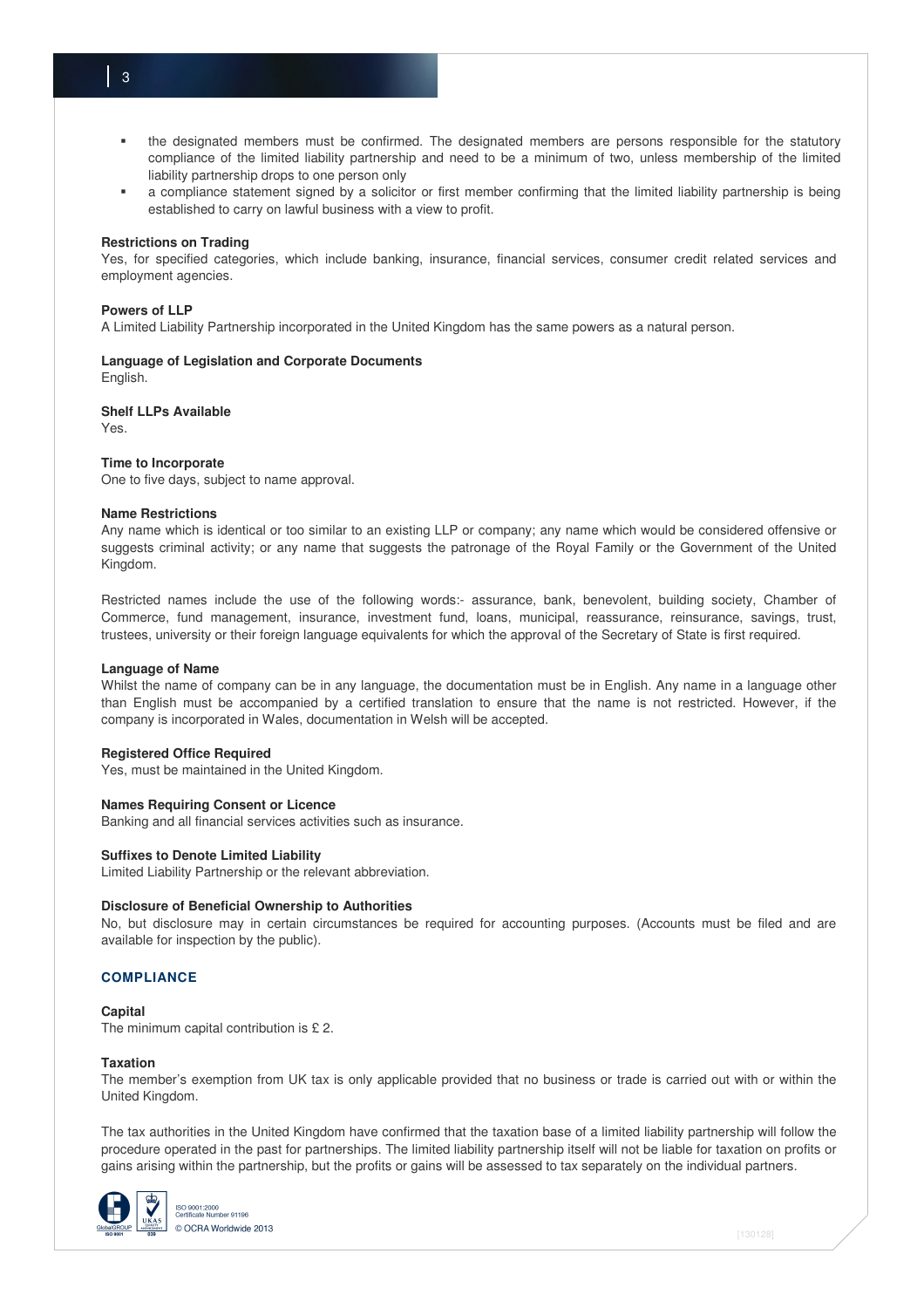- the designated members must be confirmed. The designated members are persons responsible for the statutory compliance of the limited liability partnership and need to be a minimum of two, unless membership of the limited liability partnership drops to one person only
- a compliance statement signed by a solicitor or first member confirming that the limited liability partnership is being established to carry on lawful business with a view to profit.

#### **Restrictions on Trading**

Yes, for specified categories, which include banking, insurance, financial services, consumer credit related services and employment agencies.

#### **Powers of LLP**

A Limited Liability Partnership incorporated in the United Kingdom has the same powers as a natural person.

# **Language of Legislation and Corporate Documents**

English.

## **Shelf LLPs Available**

Yes.

#### **Time to Incorporate**

One to five days, subject to name approval.

#### **Name Restrictions**

Any name which is identical or too similar to an existing LLP or company; any name which would be considered offensive or suggests criminal activity; or any name that suggests the patronage of the Royal Family or the Government of the United Kingdom.

Restricted names include the use of the following words:- assurance, bank, benevolent, building society, Chamber of Commerce, fund management, insurance, investment fund, loans, municipal, reassurance, reinsurance, savings, trust, trustees, university or their foreign language equivalents for which the approval of the Secretary of State is first required.

## **Language of Name**

Whilst the name of company can be in any language, the documentation must be in English. Any name in a language other than English must be accompanied by a certified translation to ensure that the name is not restricted. However, if the company is incorporated in Wales, documentation in Welsh will be accepted.

### **Registered Office Required**

Yes, must be maintained in the United Kingdom.

# **Names Requiring Consent or Licence**

Banking and all financial services activities such as insurance.

# **Suffixes to Denote Limited Liability**

Limited Liability Partnership or the relevant abbreviation.

#### **Disclosure of Beneficial Ownership to Authorities**

No, but disclosure may in certain circumstances be required for accounting purposes. (Accounts must be filed and are available for inspection by the public).

# **COMPLIANCE**

#### **Capital**

The minimum capital contribution is £ 2.

#### **Taxation**

The member's exemption from UK tax is only applicable provided that no business or trade is carried out with or within the United Kingdom.

The tax authorities in the United Kingdom have confirmed that the taxation base of a limited liability partnership will follow the procedure operated in the past for partnerships. The limited liability partnership itself will not be liable for taxation on profits or gains arising within the partnership, but the profits or gains will be assessed to tax separately on the individual partners.